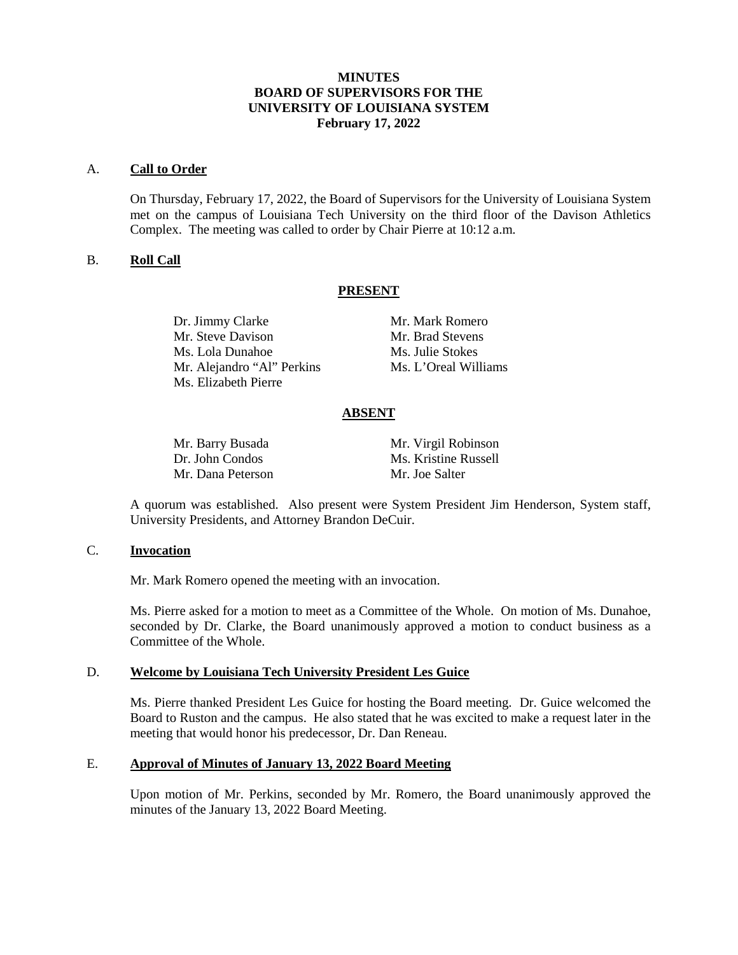## **MINUTES BOARD OF SUPERVISORS FOR THE UNIVERSITY OF LOUISIANA SYSTEM February 17, 2022**

#### A. **Call to Order**

On Thursday, February 17, 2022, the Board of Supervisors for the University of Louisiana System met on the campus of Louisiana Tech University on the third floor of the Davison Athletics Complex. The meeting was called to order by Chair Pierre at 10:12 a.m.

### B. **Roll Call**

### **PRESENT**

Dr. Jimmy Clarke Mr. Mark Romero Mr. Steve Davison Mr. Brad Stevens Ms. Lola Dunahoe Ms. Julie Stokes Mr. Alejandro "Al" Perkins Ms. L'Oreal Williams Ms. Elizabeth Pierre

## **ABSENT**

Mr. Dana Peterson Mr. Joe Salter

Mr. Barry Busada Mr. Virgil Robinson Dr. John Condos Ms. Kristine Russell

A quorum was established. Also present were System President Jim Henderson, System staff, University Presidents, and Attorney Brandon DeCuir.

#### C. **Invocation**

Mr. Mark Romero opened the meeting with an invocation.

Ms. Pierre asked for a motion to meet as a Committee of the Whole. On motion of Ms. Dunahoe, seconded by Dr. Clarke, the Board unanimously approved a motion to conduct business as a Committee of the Whole.

## D. **Welcome by Louisiana Tech University President Les Guice**

Ms. Pierre thanked President Les Guice for hosting the Board meeting. Dr. Guice welcomed the Board to Ruston and the campus. He also stated that he was excited to make a request later in the meeting that would honor his predecessor, Dr. Dan Reneau.

# E. **Approval of Minutes of January 13, 2022 Board Meeting**

Upon motion of Mr. Perkins, seconded by Mr. Romero, the Board unanimously approved the minutes of the January 13, 2022 Board Meeting.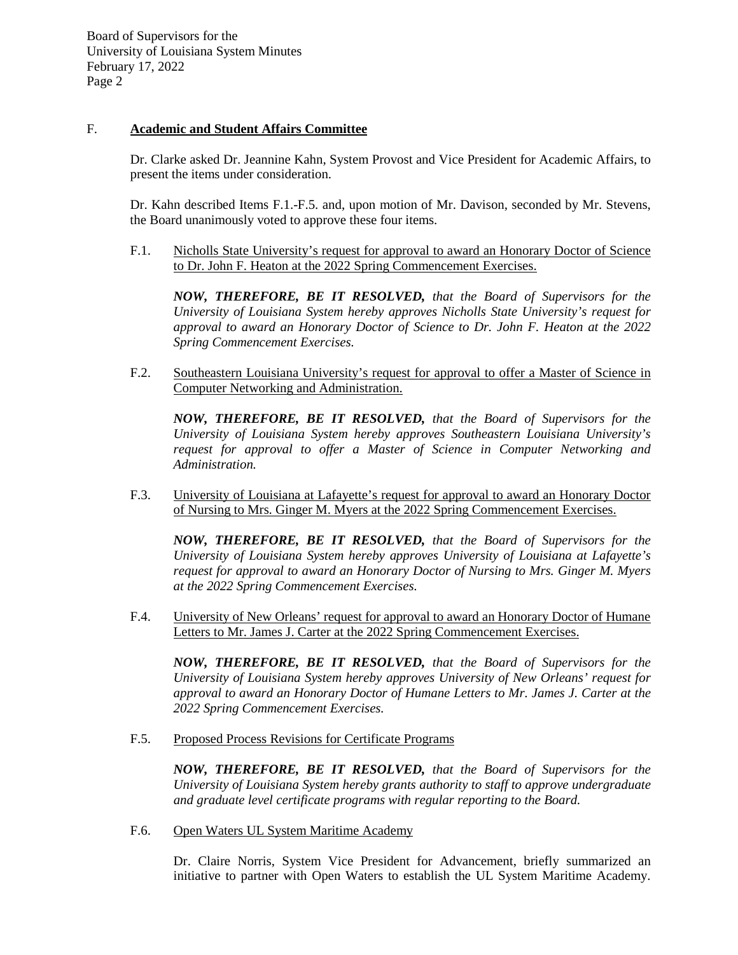## F. **Academic and Student Affairs Committee**

Dr. Clarke asked Dr. Jeannine Kahn, System Provost and Vice President for Academic Affairs, to present the items under consideration.

Dr. Kahn described Items F.1.-F.5. and, upon motion of Mr. Davison, seconded by Mr. Stevens, the Board unanimously voted to approve these four items.

F.1. Nicholls State University's request for approval to award an Honorary Doctor of Science to Dr. John F. Heaton at the 2022 Spring Commencement Exercises.

*NOW, THEREFORE, BE IT RESOLVED, that the Board of Supervisors for the University of Louisiana System hereby approves Nicholls State University's request for approval to award an Honorary Doctor of Science to Dr. John F. Heaton at the 2022 Spring Commencement Exercises.*

F.2. Southeastern Louisiana University's request for approval to offer a Master of Science in Computer Networking and Administration.

*NOW, THEREFORE, BE IT RESOLVED, that the Board of Supervisors for the University of Louisiana System hereby approves Southeastern Louisiana University's request for approval to offer a Master of Science in Computer Networking and Administration.* 

F.3. University of Louisiana at Lafayette's request for approval to award an Honorary Doctor of Nursing to Mrs. Ginger M. Myers at the 2022 Spring Commencement Exercises.

*NOW, THEREFORE, BE IT RESOLVED, that the Board of Supervisors for the University of Louisiana System hereby approves University of Louisiana at Lafayette's request for approval to award an Honorary Doctor of Nursing to Mrs. Ginger M. Myers at the 2022 Spring Commencement Exercises.*

F.4. University of New Orleans' request for approval to award an Honorary Doctor of Humane Letters to Mr. James J. Carter at the 2022 Spring Commencement Exercises.

*NOW, THEREFORE, BE IT RESOLVED, that the Board of Supervisors for the University of Louisiana System hereby approves University of New Orleans' request for approval to award an Honorary Doctor of Humane Letters to Mr. James J. Carter at the 2022 Spring Commencement Exercises.*

F.5. Proposed Process Revisions for Certificate Programs

*NOW, THEREFORE, BE IT RESOLVED, that the Board of Supervisors for the University of Louisiana System hereby grants authority to staff to approve undergraduate and graduate level certificate programs with regular reporting to the Board.*

F.6. Open Waters UL System Maritime Academy

Dr. Claire Norris, System Vice President for Advancement, briefly summarized an initiative to partner with Open Waters to establish the UL System Maritime Academy.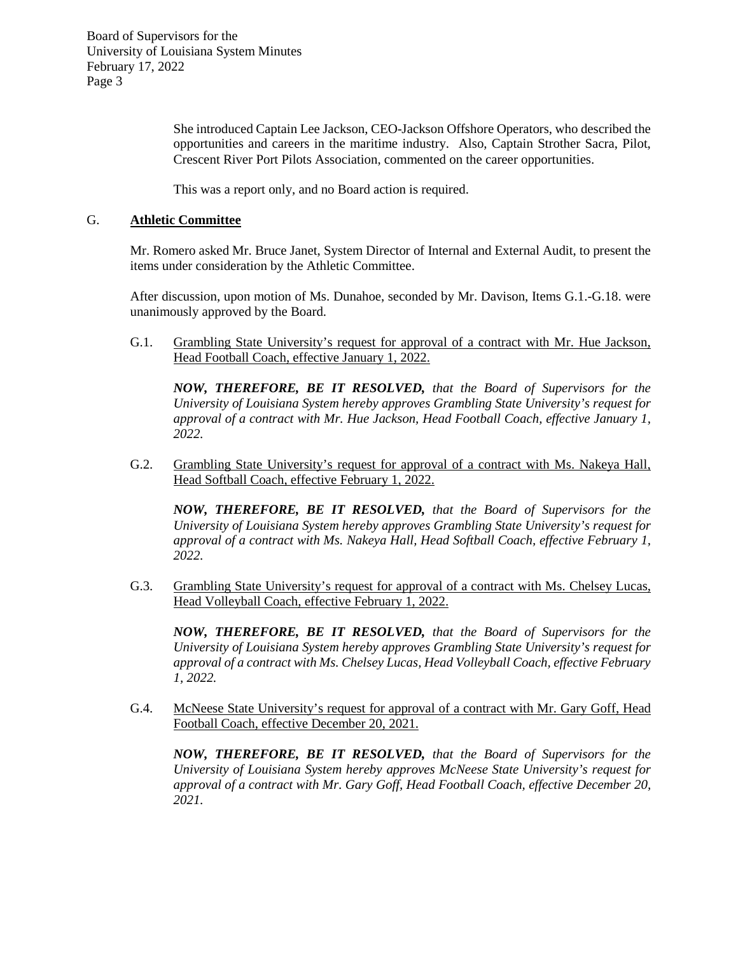> She introduced Captain Lee Jackson, CEO-Jackson Offshore Operators, who described the opportunities and careers in the maritime industry. Also, Captain Strother Sacra, Pilot, Crescent River Port Pilots Association, commented on the career opportunities.

This was a report only, and no Board action is required.

## G. **Athletic Committee**

Mr. Romero asked Mr. Bruce Janet, System Director of Internal and External Audit, to present the items under consideration by the Athletic Committee.

After discussion, upon motion of Ms. Dunahoe, seconded by Mr. Davison, Items G.1.-G.18. were unanimously approved by the Board.

G.1. Grambling State University's request for approval of a contract with Mr. Hue Jackson, Head Football Coach, effective January 1, 2022.

*NOW, THEREFORE, BE IT RESOLVED, that the Board of Supervisors for the University of Louisiana System hereby approves Grambling State University's request for approval of a contract with Mr. Hue Jackson, Head Football Coach, effective January 1, 2022.*

G.2. Grambling State University's request for approval of a contract with Ms. Nakeya Hall, Head Softball Coach, effective February 1, 2022.

*NOW, THEREFORE, BE IT RESOLVED, that the Board of Supervisors for the University of Louisiana System hereby approves Grambling State University's request for approval of a contract with Ms. Nakeya Hall, Head Softball Coach, effective February 1, 2022.*

G.3. Grambling State University's request for approval of a contract with Ms. Chelsey Lucas, Head Volleyball Coach, effective February 1, 2022.

*NOW, THEREFORE, BE IT RESOLVED, that the Board of Supervisors for the University of Louisiana System hereby approves Grambling State University's request for approval of a contract with Ms. Chelsey Lucas, Head Volleyball Coach, effective February 1, 2022.*

G.4. McNeese State University's request for approval of a contract with Mr. Gary Goff, Head Football Coach, effective December 20, 2021.

*NOW, THEREFORE, BE IT RESOLVED, that the Board of Supervisors for the University of Louisiana System hereby approves McNeese State University's request for approval of a contract with Mr. Gary Goff, Head Football Coach, effective December 20, 2021.*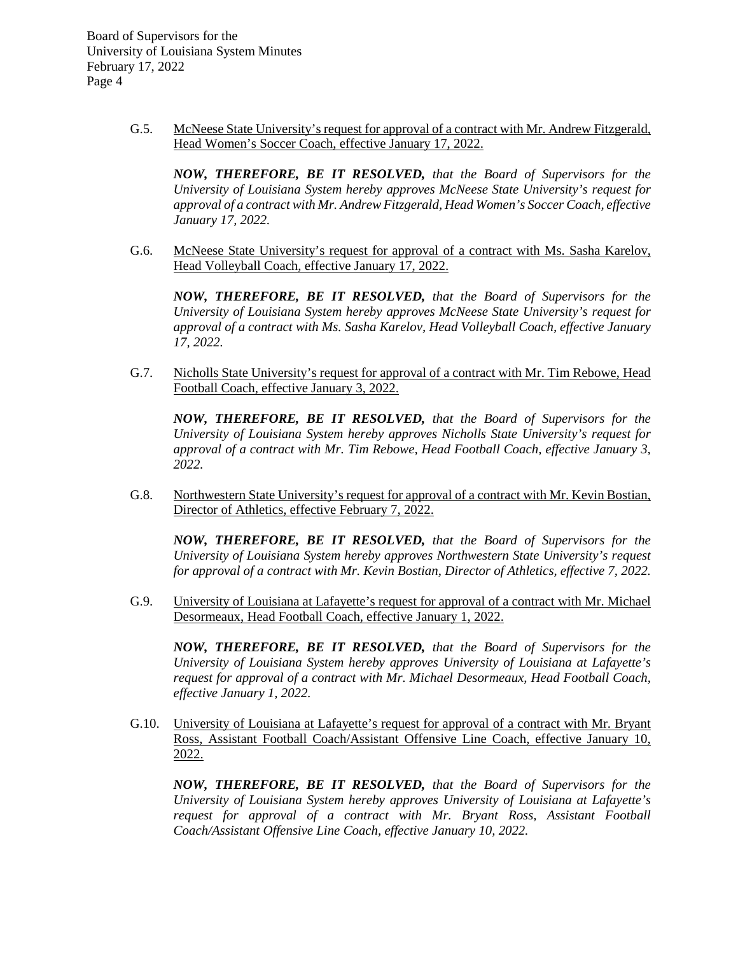> G.5. McNeese State University's request for approval of a contract with Mr. Andrew Fitzgerald, Head Women's Soccer Coach, effective January 17, 2022.

*NOW, THEREFORE, BE IT RESOLVED, that the Board of Supervisors for the University of Louisiana System hereby approves McNeese State University's request for approval of a contract with Mr. Andrew Fitzgerald, Head Women's Soccer Coach, effective January 17, 2022.*

G.6. McNeese State University's request for approval of a contract with Ms. Sasha Karelov, Head Volleyball Coach, effective January 17, 2022.

*NOW, THEREFORE, BE IT RESOLVED, that the Board of Supervisors for the University of Louisiana System hereby approves McNeese State University's request for approval of a contract with Ms. Sasha Karelov, Head Volleyball Coach, effective January 17, 2022.*

G.7. Nicholls State University's request for approval of a contract with Mr. Tim Rebowe, Head Football Coach, effective January 3, 2022.

*NOW, THEREFORE, BE IT RESOLVED, that the Board of Supervisors for the University of Louisiana System hereby approves Nicholls State University's request for approval of a contract with Mr. Tim Rebowe, Head Football Coach, effective January 3, 2022.*

G.8. Northwestern State University's request for approval of a contract with Mr. Kevin Bostian, Director of Athletics, effective February 7, 2022.

*NOW, THEREFORE, BE IT RESOLVED, that the Board of Supervisors for the University of Louisiana System hereby approves Northwestern State University's request for approval of a contract with Mr. Kevin Bostian, Director of Athletics, effective 7, 2022.*

G.9. University of Louisiana at Lafayette's request for approval of a contract with Mr. Michael Desormeaux, Head Football Coach, effective January 1, 2022.

*NOW, THEREFORE, BE IT RESOLVED, that the Board of Supervisors for the University of Louisiana System hereby approves University of Louisiana at Lafayette's request for approval of a contract with Mr. Michael Desormeaux, Head Football Coach, effective January 1, 2022.*

G.10. University of Louisiana at Lafayette's request for approval of a contract with Mr. Bryant Ross, Assistant Football Coach/Assistant Offensive Line Coach, effective January 10, 2022.

*NOW, THEREFORE, BE IT RESOLVED, that the Board of Supervisors for the University of Louisiana System hereby approves University of Louisiana at Lafayette's request for approval of a contract with Mr. Bryant Ross, Assistant Football Coach/Assistant Offensive Line Coach, effective January 10, 2022.*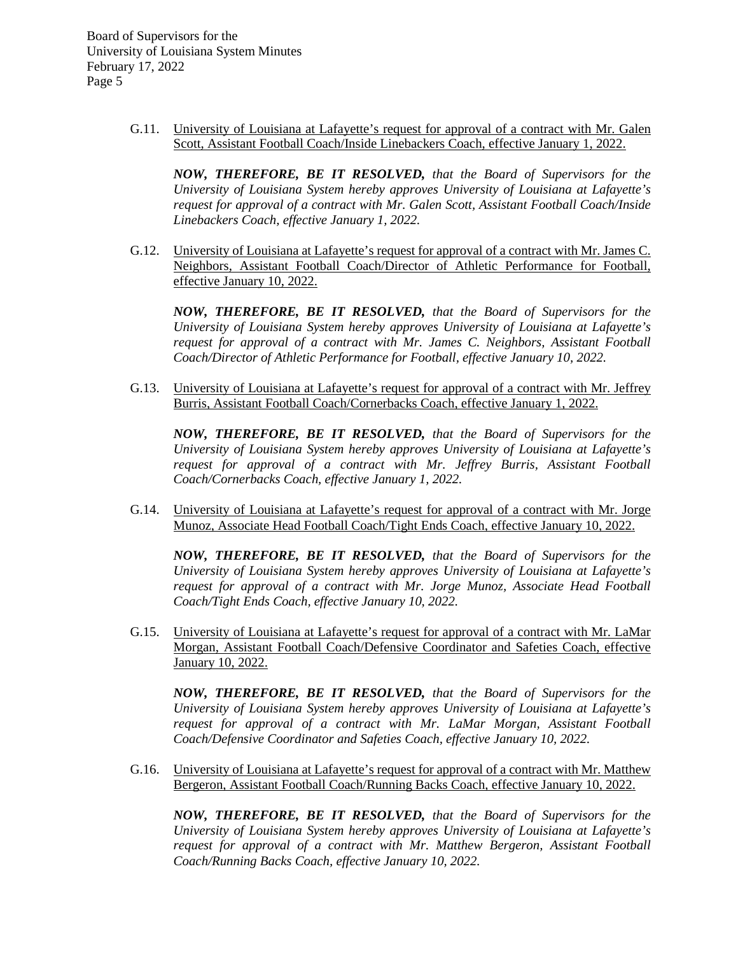> G.11. University of Louisiana at Lafayette's request for approval of a contract with Mr. Galen Scott, Assistant Football Coach/Inside Linebackers Coach, effective January 1, 2022.

*NOW, THEREFORE, BE IT RESOLVED, that the Board of Supervisors for the University of Louisiana System hereby approves University of Louisiana at Lafayette's request for approval of a contract with Mr. Galen Scott, Assistant Football Coach/Inside Linebackers Coach, effective January 1, 2022.*

G.12. University of Louisiana at Lafayette's request for approval of a contract with Mr. James C. Neighbors, Assistant Football Coach/Director of Athletic Performance for Football, effective January 10, 2022.

*NOW, THEREFORE, BE IT RESOLVED, that the Board of Supervisors for the University of Louisiana System hereby approves University of Louisiana at Lafayette's request for approval of a contract with Mr. James C. Neighbors, Assistant Football Coach/Director of Athletic Performance for Football, effective January 10, 2022.*

G.13. University of Louisiana at Lafayette's request for approval of a contract with Mr. Jeffrey Burris, Assistant Football Coach/Cornerbacks Coach, effective January 1, 2022.

*NOW, THEREFORE, BE IT RESOLVED, that the Board of Supervisors for the University of Louisiana System hereby approves University of Louisiana at Lafayette's request for approval of a contract with Mr. Jeffrey Burris, Assistant Football Coach/Cornerbacks Coach, effective January 1, 2022.*

G.14. University of Louisiana at Lafayette's request for approval of a contract with Mr. Jorge Munoz, Associate Head Football Coach/Tight Ends Coach, effective January 10, 2022.

*NOW, THEREFORE, BE IT RESOLVED, that the Board of Supervisors for the University of Louisiana System hereby approves University of Louisiana at Lafayette's request for approval of a contract with Mr. Jorge Munoz, Associate Head Football Coach/Tight Ends Coach, effective January 10, 2022.*

G.15. University of Louisiana at Lafayette's request for approval of a contract with Mr. LaMar Morgan, Assistant Football Coach/Defensive Coordinator and Safeties Coach, effective January 10, 2022.

*NOW, THEREFORE, BE IT RESOLVED, that the Board of Supervisors for the University of Louisiana System hereby approves University of Louisiana at Lafayette's request for approval of a contract with Mr. LaMar Morgan, Assistant Football Coach/Defensive Coordinator and Safeties Coach, effective January 10, 2022.*

G.16. University of Louisiana at Lafayette's request for approval of a contract with Mr. Matthew Bergeron, Assistant Football Coach/Running Backs Coach, effective January 10, 2022.

*NOW, THEREFORE, BE IT RESOLVED, that the Board of Supervisors for the University of Louisiana System hereby approves University of Louisiana at Lafayette's request for approval of a contract with Mr. Matthew Bergeron, Assistant Football Coach/Running Backs Coach, effective January 10, 2022.*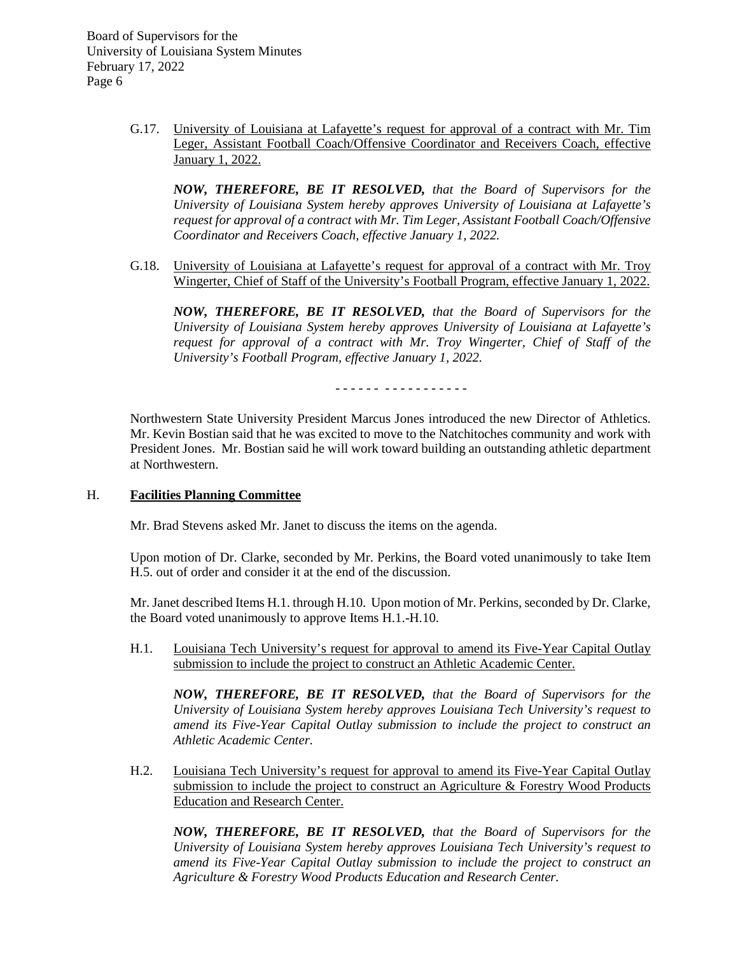> G.17. University of Louisiana at Lafayette's request for approval of a contract with Mr. Tim Leger, Assistant Football Coach/Offensive Coordinator and Receivers Coach, effective January 1, 2022.

*NOW, THEREFORE, BE IT RESOLVED, that the Board of Supervisors for the University of Louisiana System hereby approves University of Louisiana at Lafayette's request for approval of a contract with Mr. Tim Leger, Assistant Football Coach/Offensive Coordinator and Receivers Coach, effective January 1, 2022.*

G.18. University of Louisiana at Lafayette's request for approval of a contract with Mr. Troy Wingerter, Chief of Staff of the University's Football Program, effective January 1, 2022.

*NOW, THEREFORE, BE IT RESOLVED, that the Board of Supervisors for the University of Louisiana System hereby approves University of Louisiana at Lafayette's request for approval of a contract with Mr. Troy Wingerter, Chief of Staff of the University's Football Program, effective January 1, 2022.*

- - - - - - - - - - - - - - - - -

Northwestern State University President Marcus Jones introduced the new Director of Athletics. Mr. Kevin Bostian said that he was excited to move to the Natchitoches community and work with President Jones. Mr. Bostian said he will work toward building an outstanding athletic department at Northwestern.

## H. **Facilities Planning Committee**

Mr. Brad Stevens asked Mr. Janet to discuss the items on the agenda.

Upon motion of Dr. Clarke, seconded by Mr. Perkins, the Board voted unanimously to take Item H.5. out of order and consider it at the end of the discussion.

Mr. Janet described Items H.1. through H.10. Upon motion of Mr. Perkins, seconded by Dr. Clarke, the Board voted unanimously to approve Items H.1.-H.10.

H.1. Louisiana Tech University's request for approval to amend its Five-Year Capital Outlay submission to include the project to construct an Athletic Academic Center.

*NOW, THEREFORE, BE IT RESOLVED, that the Board of Supervisors for the University of Louisiana System hereby approves Louisiana Tech University's request to amend its Five-Year Capital Outlay submission to include the project to construct an Athletic Academic Center.*

H.2. Louisiana Tech University's request for approval to amend its Five-Year Capital Outlay submission to include the project to construct an Agriculture & Forestry Wood Products Education and Research Center.

*NOW, THEREFORE, BE IT RESOLVED, that the Board of Supervisors for the University of Louisiana System hereby approves Louisiana Tech University's request to amend its Five-Year Capital Outlay submission to include the project to construct an Agriculture & Forestry Wood Products Education and Research Center.*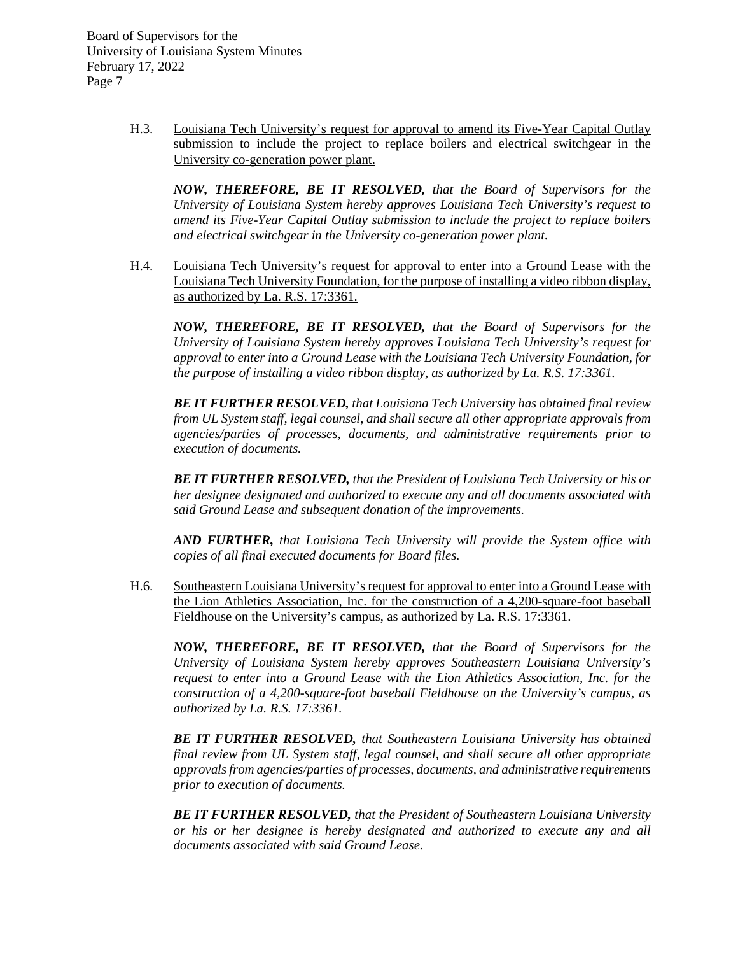> H.3. Louisiana Tech University's request for approval to amend its Five-Year Capital Outlay submission to include the project to replace boilers and electrical switchgear in the University co-generation power plant.

*NOW, THEREFORE, BE IT RESOLVED, that the Board of Supervisors for the University of Louisiana System hereby approves Louisiana Tech University's request to amend its Five-Year Capital Outlay submission to include the project to replace boilers and electrical switchgear in the University co-generation power plant.*

H.4. Louisiana Tech University's request for approval to enter into a Ground Lease with the Louisiana Tech University Foundation, for the purpose of installing a video ribbon display, as authorized by La. R.S. 17:3361.

*NOW, THEREFORE, BE IT RESOLVED, that the Board of Supervisors for the University of Louisiana System hereby approves Louisiana Tech University's request for approval to enter into a Ground Lease with the Louisiana Tech University Foundation, for the purpose of installing a video ribbon display, as authorized by La. R.S. 17:3361.*

*BE IT FURTHER RESOLVED, that Louisiana Tech University has obtained final review from UL System staff, legal counsel, and shall secure all other appropriate approvals from agencies/parties of processes, documents, and administrative requirements prior to execution of documents.*

*BE IT FURTHER RESOLVED, that the President of Louisiana Tech University or his or her designee designated and authorized to execute any and all documents associated with said Ground Lease and subsequent donation of the improvements.*

*AND FURTHER, that Louisiana Tech University will provide the System office with copies of all final executed documents for Board files.* 

H.6. Southeastern Louisiana University's request for approval to enter into a Ground Lease with the Lion Athletics Association, Inc. for the construction of a 4,200-square-foot baseball Fieldhouse on the University's campus, as authorized by La. R.S. 17:3361.

*NOW, THEREFORE, BE IT RESOLVED, that the Board of Supervisors for the University of Louisiana System hereby approves Southeastern Louisiana University's request to enter into a Ground Lease with the Lion Athletics Association, Inc. for the construction of a 4,200-square-foot baseball Fieldhouse on the University's campus, as authorized by La. R.S. 17:3361.*

*BE IT FURTHER RESOLVED, that Southeastern Louisiana University has obtained final review from UL System staff, legal counsel, and shall secure all other appropriate approvals from agencies/parties of processes, documents, and administrative requirements prior to execution of documents.*

*BE IT FURTHER RESOLVED, that the President of Southeastern Louisiana University or his or her designee is hereby designated and authorized to execute any and all documents associated with said Ground Lease.*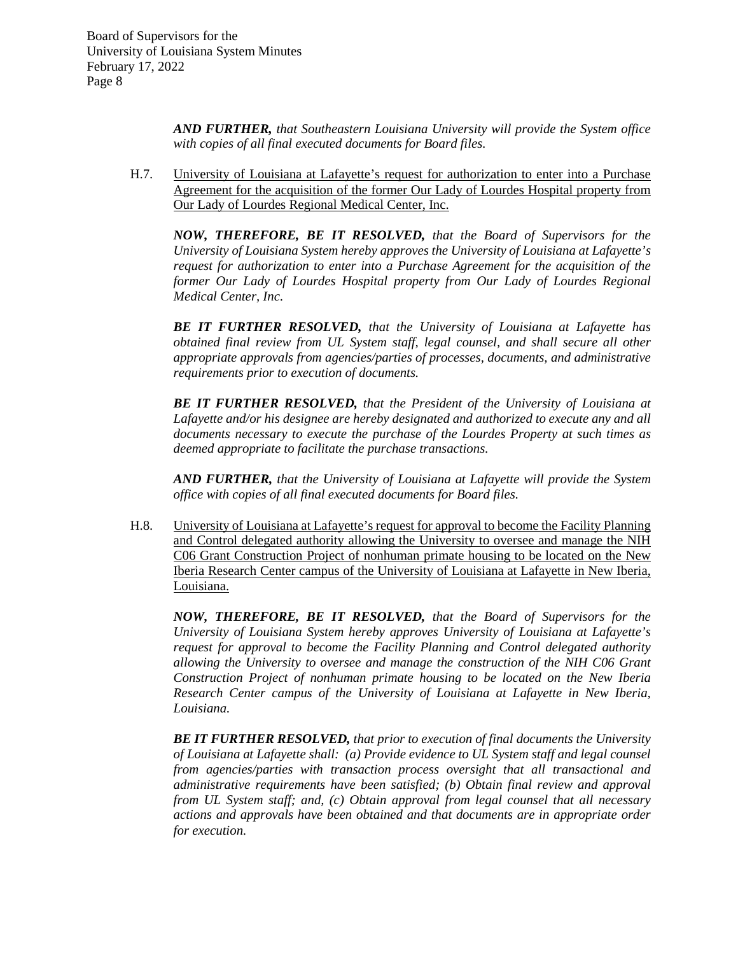> *AND FURTHER, that Southeastern Louisiana University will provide the System office with copies of all final executed documents for Board files.*

H.7. University of Louisiana at Lafayette's request for authorization to enter into a Purchase Agreement for the acquisition of the former Our Lady of Lourdes Hospital property from Our Lady of Lourdes Regional Medical Center, Inc.

*NOW, THEREFORE, BE IT RESOLVED, that the Board of Supervisors for the University of Louisiana System hereby approves the University of Louisiana at Lafayette's request for authorization to enter into a Purchase Agreement for the acquisition of the*  former Our Lady of Lourdes Hospital property from Our Lady of Lourdes Regional *Medical Center, Inc.*

*BE IT FURTHER RESOLVED, that the University of Louisiana at Lafayette has obtained final review from UL System staff, legal counsel, and shall secure all other appropriate approvals from agencies/parties of processes, documents, and administrative requirements prior to execution of documents.*

*BE IT FURTHER RESOLVED, that the President of the University of Louisiana at Lafayette and/or his designee are hereby designated and authorized to execute any and all documents necessary to execute the purchase of the Lourdes Property at such times as deemed appropriate to facilitate the purchase transactions.*

*AND FURTHER, that the University of Louisiana at Lafayette will provide the System office with copies of all final executed documents for Board files.*

H.8. University of Louisiana at Lafayette's request for approval to become the Facility Planning and Control delegated authority allowing the University to oversee and manage the NIH C06 Grant Construction Project of nonhuman primate housing to be located on the New Iberia Research Center campus of the University of Louisiana at Lafayette in New Iberia, Louisiana.

*NOW, THEREFORE, BE IT RESOLVED, that the Board of Supervisors for the University of Louisiana System hereby approves University of Louisiana at Lafayette's request for approval to become the Facility Planning and Control delegated authority allowing the University to oversee and manage the construction of the NIH C06 Grant Construction Project of nonhuman primate housing to be located on the New Iberia Research Center campus of the University of Louisiana at Lafayette in New Iberia, Louisiana.* 

*BE IT FURTHER RESOLVED, that prior to execution of final documents the University of Louisiana at Lafayette shall: (a) Provide evidence to UL System staff and legal counsel from agencies/parties with transaction process oversight that all transactional and administrative requirements have been satisfied; (b) Obtain final review and approval from UL System staff; and, (c) Obtain approval from legal counsel that all necessary actions and approvals have been obtained and that documents are in appropriate order for execution.*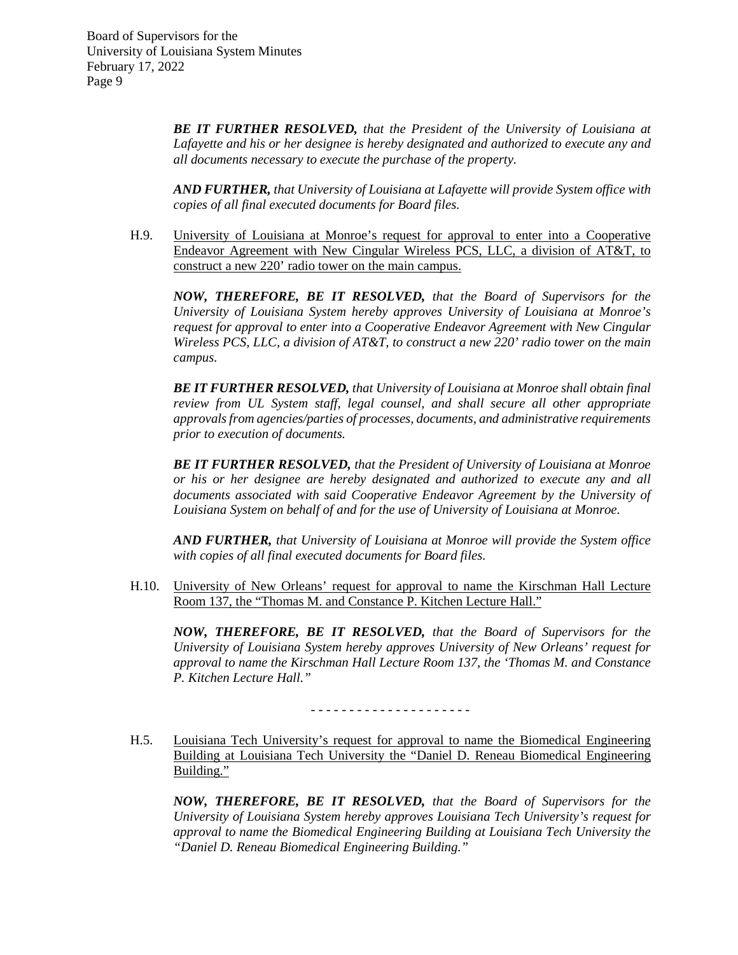> *BE IT FURTHER RESOLVED, that the President of the University of Louisiana at Lafayette and his or her designee is hereby designated and authorized to execute any and all documents necessary to execute the purchase of the property.*

> *AND FURTHER, that University of Louisiana at Lafayette will provide System office with copies of all final executed documents for Board files.*

H.9. University of Louisiana at Monroe's request for approval to enter into a Cooperative Endeavor Agreement with New Cingular Wireless PCS, LLC, a division of AT&T, to construct a new 220' radio tower on the main campus.

*NOW, THEREFORE, BE IT RESOLVED, that the Board of Supervisors for the University of Louisiana System hereby approves University of Louisiana at Monroe's request for approval to enter into a Cooperative Endeavor Agreement with New Cingular Wireless PCS, LLC, a division of AT&T, to construct a new 220' radio tower on the main campus.*

*BE IT FURTHER RESOLVED, that University of Louisiana at Monroe shall obtain final review from UL System staff, legal counsel, and shall secure all other appropriate approvals from agencies/parties of processes, documents, and administrative requirements prior to execution of documents.*

*BE IT FURTHER RESOLVED, that the President of University of Louisiana at Monroe or his or her designee are hereby designated and authorized to execute any and all documents associated with said Cooperative Endeavor Agreement by the University of Louisiana System on behalf of and for the use of University of Louisiana at Monroe.*

*AND FURTHER, that University of Louisiana at Monroe will provide the System office with copies of all final executed documents for Board files.*

H.10. University of New Orleans' request for approval to name the Kirschman Hall Lecture Room 137, the "Thomas M. and Constance P. Kitchen Lecture Hall."

*NOW, THEREFORE, BE IT RESOLVED, that the Board of Supervisors for the University of Louisiana System hereby approves University of New Orleans' request for approval to name the Kirschman Hall Lecture Room 137, the 'Thomas M. and Constance P. Kitchen Lecture Hall."*

- - - - - - - - - - - - - - - - - - - - -

H.5. Louisiana Tech University's request for approval to name the Biomedical Engineering Building at Louisiana Tech University the "Daniel D. Reneau Biomedical Engineering Building."

*NOW, THEREFORE, BE IT RESOLVED, that the Board of Supervisors for the University of Louisiana System hereby approves Louisiana Tech University's request for approval to name the Biomedical Engineering Building at Louisiana Tech University the "Daniel D. Reneau Biomedical Engineering Building."*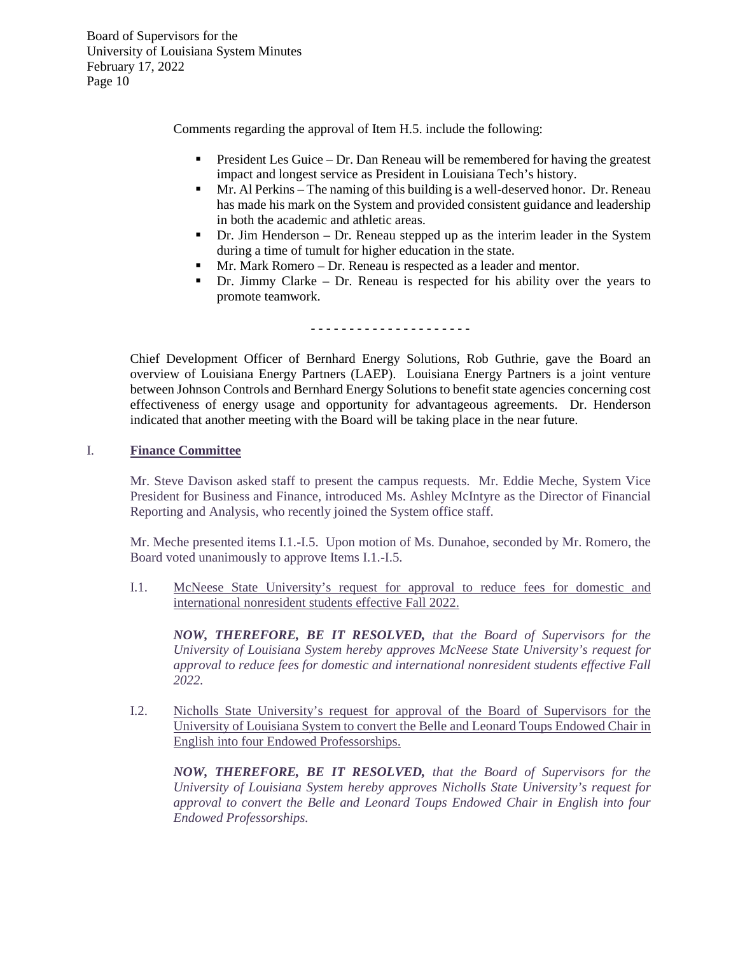Comments regarding the approval of Item H.5. include the following:

- President Les Guice Dr. Dan Reneau will be remembered for having the greatest impact and longest service as President in Louisiana Tech's history.
- Mr. Al Perkins The naming of this building is a well-deserved honor. Dr. Reneau has made his mark on the System and provided consistent guidance and leadership in both the academic and athletic areas.
- Dr. Jim Henderson Dr. Reneau stepped up as the interim leader in the System during a time of tumult for higher education in the state.
- Mr. Mark Romero Dr. Reneau is respected as a leader and mentor.
- Dr. Jimmy Clarke Dr. Reneau is respected for his ability over the years to promote teamwork.

- - - - - - - - - - - - - - - - - - - - -

Chief Development Officer of Bernhard Energy Solutions, Rob Guthrie, gave the Board an overview of Louisiana Energy Partners (LAEP). Louisiana Energy Partners is a joint venture between Johnson Controls and Bernhard Energy Solutions to benefit state agencies concerning cost effectiveness of energy usage and opportunity for advantageous agreements. Dr. Henderson indicated that another meeting with the Board will be taking place in the near future.

### I. **Finance Committee**

Mr. Steve Davison asked staff to present the campus requests. Mr. Eddie Meche, System Vice President for Business and Finance, introduced Ms. Ashley McIntyre as the Director of Financial Reporting and Analysis, who recently joined the System office staff.

Mr. Meche presented items I.1.-I.5. Upon motion of Ms. Dunahoe, seconded by Mr. Romero, the Board voted unanimously to approve Items I.1.-I.5.

I.1. McNeese State University's request for approval to reduce fees for domestic and international nonresident students effective Fall 2022.

*NOW, THEREFORE, BE IT RESOLVED, that the Board of Supervisors for the University of Louisiana System hereby approves McNeese State University's request for approval to reduce fees for domestic and international nonresident students effective Fall 2022.*

I.2. Nicholls State University's request for approval of the Board of Supervisors for the University of Louisiana System to convert the Belle and Leonard Toups Endowed Chair in English into four Endowed Professorships.

*NOW, THEREFORE, BE IT RESOLVED, that the Board of Supervisors for the University of Louisiana System hereby approves Nicholls State University's request for approval to convert the Belle and Leonard Toups Endowed Chair in English into four Endowed Professorships.*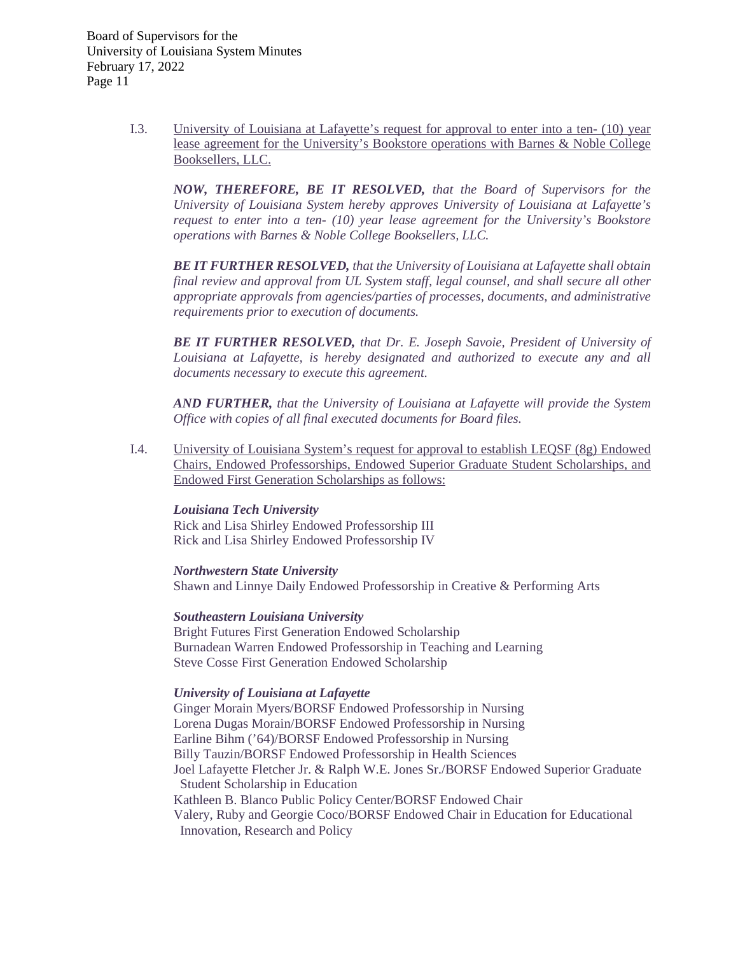> I.3. University of Louisiana at Lafayette's request for approval to enter into a ten- (10) year lease agreement for the University's Bookstore operations with Barnes & Noble College Booksellers, LLC.

*NOW, THEREFORE, BE IT RESOLVED, that the Board of Supervisors for the University of Louisiana System hereby approves University of Louisiana at Lafayette's request to enter into a ten- (10) year lease agreement for the University's Bookstore operations with Barnes & Noble College Booksellers, LLC.* 

*BE IT FURTHER RESOLVED, that the University of Louisiana at Lafayette shall obtain final review and approval from UL System staff, legal counsel, and shall secure all other appropriate approvals from agencies/parties of processes, documents, and administrative requirements prior to execution of documents.*

*BE IT FURTHER RESOLVED, that Dr. E. Joseph Savoie, President of University of Louisiana at Lafayette, is hereby designated and authorized to execute any and all documents necessary to execute this agreement.* 

*AND FURTHER, that the University of Louisiana at Lafayette will provide the System Office with copies of all final executed documents for Board files.*

I.4. University of Louisiana System's request for approval to establish LEQSF (8g) Endowed Chairs, Endowed Professorships, Endowed Superior Graduate Student Scholarships, and Endowed First Generation Scholarships as follows:

## *Louisiana Tech University*

Rick and Lisa Shirley Endowed Professorship III Rick and Lisa Shirley Endowed Professorship IV

*Northwestern State University* Shawn and Linnye Daily Endowed Professorship in Creative & Performing Arts

*Southeastern Louisiana University* Bright Futures First Generation Endowed Scholarship Burnadean Warren Endowed Professorship in Teaching and Learning Steve Cosse First Generation Endowed Scholarship

## *University of Louisiana at Lafayette*

Ginger Morain Myers/BORSF Endowed Professorship in Nursing Lorena Dugas Morain/BORSF Endowed Professorship in Nursing Earline Bihm ('64)/BORSF Endowed Professorship in Nursing Billy Tauzin/BORSF Endowed Professorship in Health Sciences Joel Lafayette Fletcher Jr. & Ralph W.E. Jones Sr./BORSF Endowed Superior Graduate Student Scholarship in Education Kathleen B. Blanco Public Policy Center/BORSF Endowed Chair Valery, Ruby and Georgie Coco/BORSF Endowed Chair in Education for Educational Innovation, Research and Policy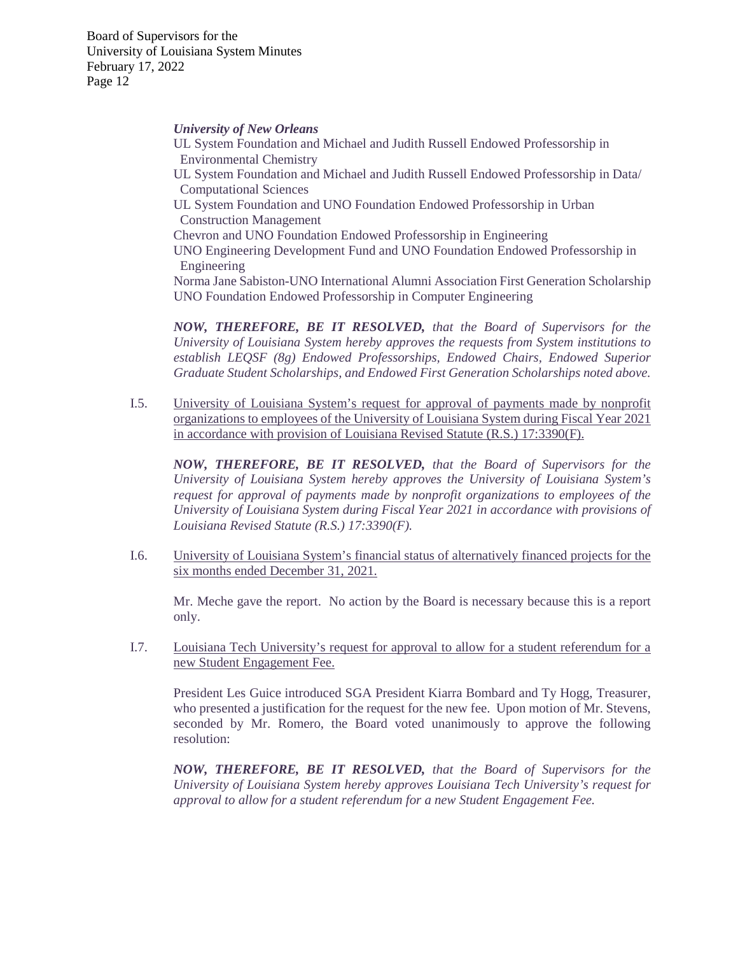#### *University of New Orleans*

UL System Foundation and Michael and Judith Russell Endowed Professorship in Environmental Chemistry UL System Foundation and Michael and Judith Russell Endowed Professorship in Data/ Computational Sciences UL System Foundation and UNO Foundation Endowed Professorship in Urban Construction Management Chevron and UNO Foundation Endowed Professorship in Engineering UNO Engineering Development Fund and UNO Foundation Endowed Professorship in Engineering Norma Jane Sabiston-UNO International Alumni Association First Generation Scholarship UNO Foundation Endowed Professorship in Computer Engineering

*NOW, THEREFORE, BE IT RESOLVED, that the Board of Supervisors for the University of Louisiana System hereby approves the requests from System institutions to establish LEQSF (8g) Endowed Professorships, Endowed Chairs, Endowed Superior Graduate Student Scholarships, and Endowed First Generation Scholarships noted above.*

I.5. University of Louisiana System's request for approval of payments made by nonprofit organizations to employees of the University of Louisiana System during Fiscal Year 2021 in accordance with provision of Louisiana Revised Statute (R.S.) 17:3390(F).

*NOW, THEREFORE, BE IT RESOLVED, that the Board of Supervisors for the University of Louisiana System hereby approves the University of Louisiana System's request for approval of payments made by nonprofit organizations to employees of the University of Louisiana System during Fiscal Year 2021 in accordance with provisions of Louisiana Revised Statute (R.S.) 17:3390(F).*

I.6. University of Louisiana System's financial status of alternatively financed projects for the six months ended December 31, 2021.

Mr. Meche gave the report. No action by the Board is necessary because this is a report only.

I.7. Louisiana Tech University's request for approval to allow for a student referendum for a new Student Engagement Fee.

President Les Guice introduced SGA President Kiarra Bombard and Ty Hogg, Treasurer, who presented a justification for the request for the new fee. Upon motion of Mr. Stevens, seconded by Mr. Romero, the Board voted unanimously to approve the following resolution:

*NOW, THEREFORE, BE IT RESOLVED, that the Board of Supervisors for the University of Louisiana System hereby approves Louisiana Tech University's request for approval to allow for a student referendum for a new Student Engagement Fee.*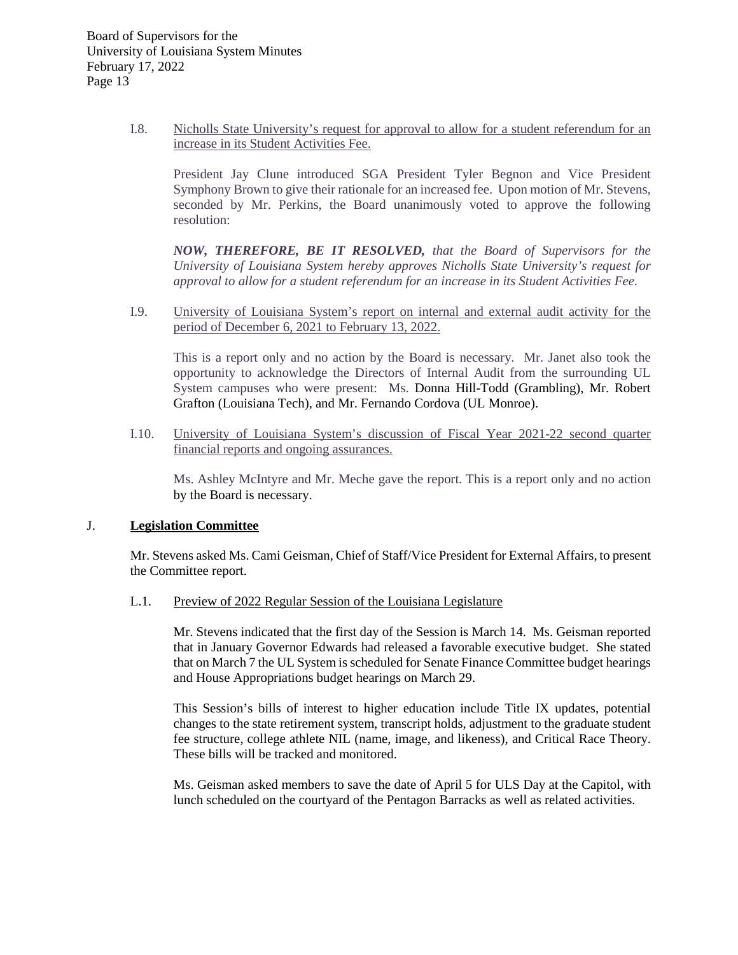I.8. Nicholls State University's request for approval to allow for a student referendum for an increase in its Student Activities Fee.

President Jay Clune introduced SGA President Tyler Begnon and Vice President Symphony Brown to give their rationale for an increased fee. Upon motion of Mr. Stevens, seconded by Mr. Perkins, the Board unanimously voted to approve the following resolution:

*NOW, THEREFORE, BE IT RESOLVED, that the Board of Supervisors for the University of Louisiana System hereby approves Nicholls State University's request for approval to allow for a student referendum for an increase in its Student Activities Fee.*

I.9. University of Louisiana System's report on internal and external audit activity for the period of December 6, 2021 to February 13, 2022.

This is a report only and no action by the Board is necessary. Mr. Janet also took the opportunity to acknowledge the Directors of Internal Audit from the surrounding UL System campuses who were present: Ms. Donna Hill-Todd (Grambling), Mr. Robert Grafton (Louisiana Tech), and Mr. Fernando Cordova (UL Monroe).

I.10. University of Louisiana System's discussion of Fiscal Year 2021-22 second quarter financial reports and ongoing assurances.

Ms. Ashley McIntyre and Mr. Meche gave the report. This is a report only and no action by the Board is necessary.

## J. **Legislation Committee**

Mr. Stevens asked Ms. Cami Geisman, Chief of Staff/Vice President for External Affairs, to present the Committee report.

L.1. Preview of 2022 Regular Session of the Louisiana Legislature

Mr. Stevens indicated that the first day of the Session is March 14. Ms. Geisman reported that in January Governor Edwards had released a favorable executive budget. She stated that on March 7 the UL System is scheduled for Senate Finance Committee budget hearings and House Appropriations budget hearings on March 29.

This Session's bills of interest to higher education include Title IX updates, potential changes to the state retirement system, transcript holds, adjustment to the graduate student fee structure, college athlete NIL (name, image, and likeness), and Critical Race Theory. These bills will be tracked and monitored.

Ms. Geisman asked members to save the date of April 5 for ULS Day at the Capitol, with lunch scheduled on the courtyard of the Pentagon Barracks as well as related activities.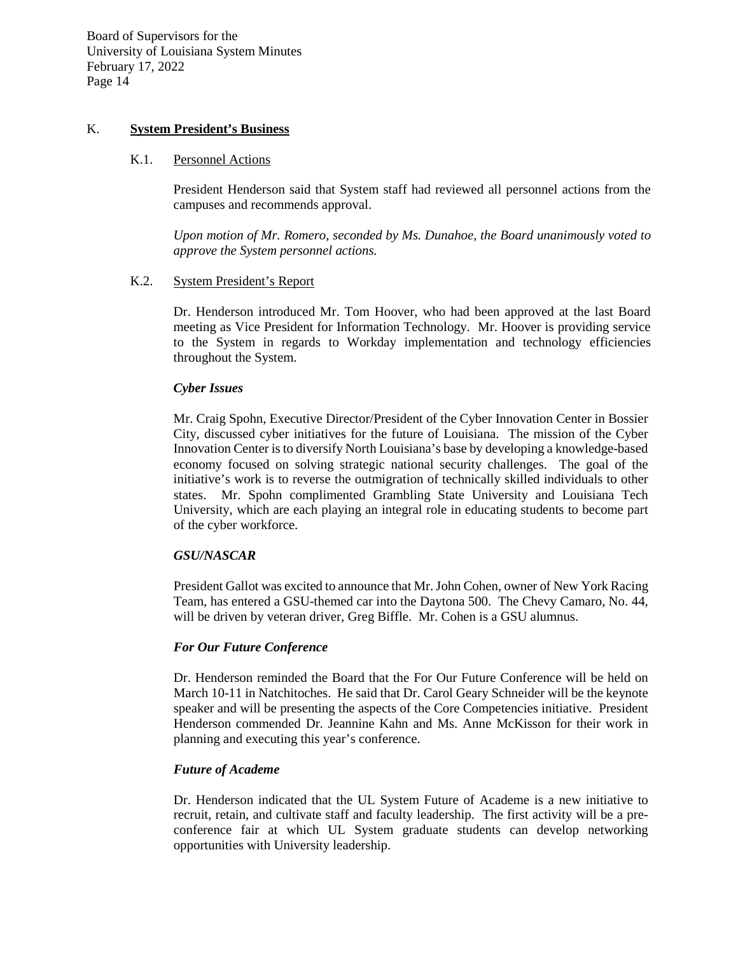## K. **System President's Business**

#### K.1. Personnel Actions

President Henderson said that System staff had reviewed all personnel actions from the campuses and recommends approval.

*Upon motion of Mr. Romero, seconded by Ms. Dunahoe, the Board unanimously voted to approve the System personnel actions.*

### K.2. System President's Report

Dr. Henderson introduced Mr. Tom Hoover, who had been approved at the last Board meeting as Vice President for Information Technology. Mr. Hoover is providing service to the System in regards to Workday implementation and technology efficiencies throughout the System.

### *Cyber Issues*

Mr. Craig Spohn, Executive Director/President of the Cyber Innovation Center in Bossier City, discussed cyber initiatives for the future of Louisiana. The mission of the Cyber Innovation Center is to diversify North Louisiana's base by developing a knowledge-based economy focused on solving strategic national security challenges. The goal of the initiative's work is to reverse the outmigration of technically skilled individuals to other states. Mr. Spohn complimented Grambling State University and Louisiana Tech University, which are each playing an integral role in educating students to become part of the cyber workforce.

#### *GSU/NASCAR*

President Gallot was excited to announce that Mr. John Cohen, owner of New York Racing Team, has entered a GSU-themed car into the Daytona 500. The Chevy Camaro, No. 44, will be driven by veteran driver, Greg Biffle. Mr. Cohen is a GSU alumnus.

#### *For Our Future Conference*

Dr. Henderson reminded the Board that the For Our Future Conference will be held on March 10-11 in Natchitoches. He said that Dr. Carol Geary Schneider will be the keynote speaker and will be presenting the aspects of the Core Competencies initiative. President Henderson commended Dr. Jeannine Kahn and Ms. Anne McKisson for their work in planning and executing this year's conference.

## *Future of Academe*

Dr. Henderson indicated that the UL System Future of Academe is a new initiative to recruit, retain, and cultivate staff and faculty leadership. The first activity will be a preconference fair at which UL System graduate students can develop networking opportunities with University leadership.